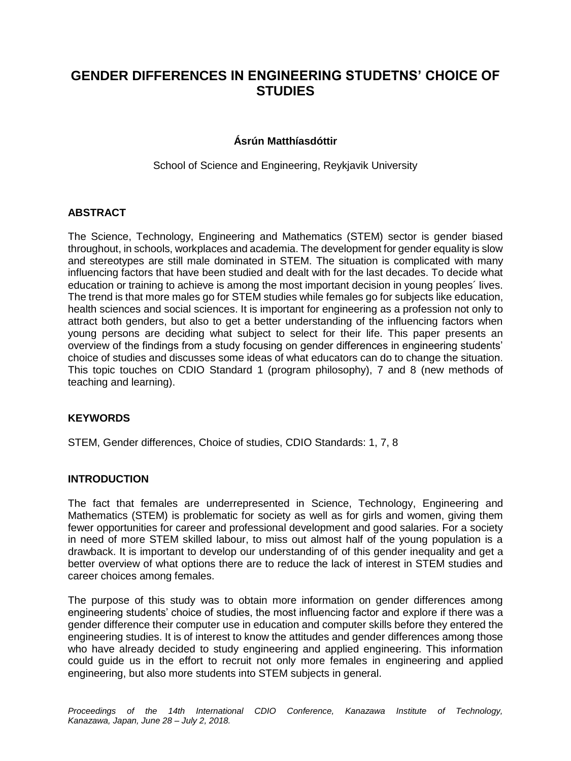# **GENDER DIFFERENCES IN ENGINEERING STUDETNS' CHOICE OF STUDIES**

# **Ásrún Matthíasdóttir**

School of Science and Engineering, Reykjavik University

# **ABSTRACT**

The Science, Technology, Engineering and Mathematics (STEM) sector is gender biased throughout, in schools, workplaces and academia. The development for gender equality is slow and stereotypes are still male dominated in STEM. The situation is complicated with many influencing factors that have been studied and dealt with for the last decades. To decide what education or training to achieve is among the most important decision in young peoples´ lives. The trend is that more males go for STEM studies while females go for subjects like education, health sciences and social sciences. It is important for engineering as a profession not only to attract both genders, but also to get a better understanding of the influencing factors when young persons are deciding what subject to select for their life. This paper presents an overview of the findings from a study focusing on gender differences in engineering students' choice of studies and discusses some ideas of what educators can do to change the situation. This topic touches on CDIO Standard 1 (program philosophy), 7 and 8 (new methods of teaching and learning).

# **KEYWORDS**

STEM, Gender differences, Choice of studies, CDIO Standards: 1, 7, 8

### **INTRODUCTION**

The fact that females are underrepresented in Science, Technology, Engineering and Mathematics (STEM) is problematic for society as well as for girls and women, giving them fewer opportunities for career and professional development and good salaries. For a society in need of more STEM skilled labour, to miss out almost half of the young population is a drawback. It is important to develop our understanding of of this gender inequality and get a better overview of what options there are to reduce the lack of interest in STEM studies and career choices among females.

The purpose of this study was to obtain more information on gender differences among engineering students' choice of studies, the most influencing factor and explore if there was a gender difference their computer use in education and computer skills before they entered the engineering studies. It is of interest to know the attitudes and gender differences among those who have already decided to study engineering and applied engineering. This information could guide us in the effort to recruit not only more females in engineering and applied engineering, but also more students into STEM subjects in general.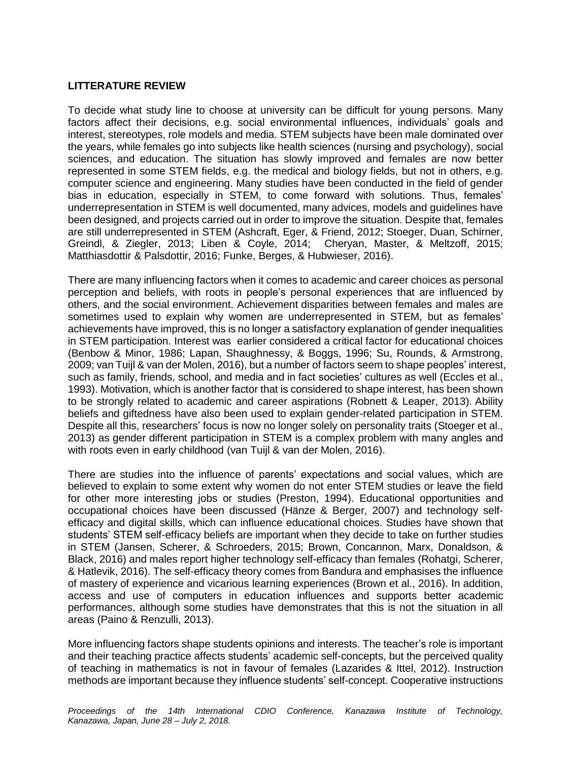## **LITTERATURE REVIEW**

To decide what study line to choose at university can be difficult for young persons. Many factors affect their decisions, e.g. social environmental influences, individuals' goals and interest, stereotypes, role models and media. STEM subjects have been male dominated over the years, while females go into subjects like health sciences (nursing and psychology), social sciences, and education. The situation has slowly improved and females are now better represented in some STEM fields, e.g. the medical and biology fields, but not in others, e.g. computer science and engineering. Many studies have been conducted in the field of gender bias in education, especially in STEM, to come forward with solutions. Thus, females' underrepresentation in STEM is well documented, many advices, models and guidelines have been designed, and projects carried out in order to improve the situation. Despite that, females are still underrepresented in STEM (Ashcraft, Eger, & Friend, 2012; Stoeger, Duan, Schirner, Greindl, & Ziegler, 2013; Liben & Coyle, 2014; Cheryan, Master, & Meltzoff, 2015; Matthiasdottir & Palsdottir, 2016; Funke, Berges, & Hubwieser, 2016).

There are many influencing factors when it comes to academic and career choices as personal perception and beliefs, with roots in people's personal experiences that are influenced by others, and the social environment. Achievement disparities between females and males are sometimes used to explain why women are underrepresented in STEM, but as females' achievements have improved, this is no longer a satisfactory explanation of gender inequalities in STEM participation. Interest was earlier considered a critical factor for educational choices (Benbow & Minor, 1986; Lapan, Shaughnessy, & Boggs, 1996; Su, Rounds, & Armstrong, 2009; van Tuijl & van der Molen, 2016), but a number of factors seem to shape peoples' interest, such as family, friends, school, and media and in fact societies' cultures as well (Eccles et al., 1993). Motivation, which is another factor that is considered to shape interest, has been shown to be strongly related to academic and career aspirations (Robnett & Leaper, 2013). Ability beliefs and giftedness have also been used to explain gender-related participation in STEM. Despite all this, researchers' focus is now no longer solely on personality traits (Stoeger et al., 2013) as gender different participation in STEM is a complex problem with many angles and with roots even in early childhood (van Tuijl & van der Molen, 2016).

There are studies into the influence of parents' expectations and social values, which are believed to explain to some extent why women do not enter STEM studies or leave the field for other more interesting jobs or studies (Preston, 1994). Educational opportunities and occupational choices have been discussed (Hänze & Berger, 2007) and technology selfefficacy and digital skills, which can influence educational choices. Studies have shown that students' STEM self-efficacy beliefs are important when they decide to take on further studies in STEM (Jansen, Scherer, & Schroeders, 2015; Brown, Concannon, Marx, Donaldson, & Black, 2016) and males report higher technology self-efficacy than females (Rohatgi, Scherer, & Hatlevik, 2016). The self-efficacy theory comes from Bandura and emphasises the influence of mastery of experience and vicarious learning experiences (Brown et al., 2016). In addition, access and use of computers in education influences and supports better academic performances, although some studies have demonstrates that this is not the situation in all areas (Paino & Renzulli, 2013).

More influencing factors shape students opinions and interests. The teacher's role is important and their teaching practice affects students' academic self-concepts, but the perceived quality of teaching in mathematics is not in favour of females (Lazarides & Ittel, 2012). Instruction methods are important because they influence students' self-concept. Cooperative instructions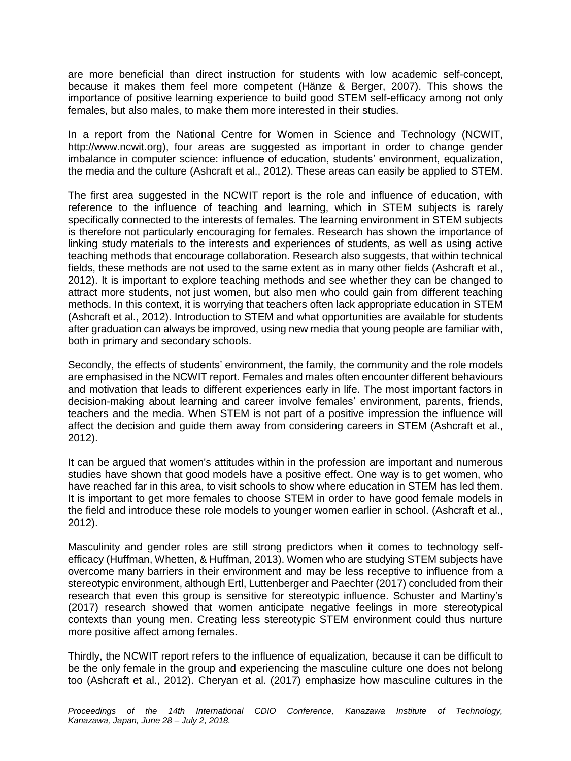are more beneficial than direct instruction for students with low academic self-concept, because it makes them feel more competent (Hänze & Berger, 2007). This shows the importance of positive learning experience to build good STEM self-efficacy among not only females, but also males, to make them more interested in their studies.

In a report from the National Centre for Women in Science and Technology (NCWIT, http://www.ncwit.org), four areas are suggested as important in order to change gender imbalance in computer science: influence of education, students' environment, equalization, the media and the culture (Ashcraft et al., 2012). These areas can easily be applied to STEM.

The first area suggested in the NCWIT report is the role and influence of education, with reference to the influence of teaching and learning, which in STEM subjects is rarely specifically connected to the interests of females. The learning environment in STEM subjects is therefore not particularly encouraging for females. Research has shown the importance of linking study materials to the interests and experiences of students, as well as using active teaching methods that encourage collaboration. Research also suggests, that within technical fields, these methods are not used to the same extent as in many other fields (Ashcraft et al., 2012). It is important to explore teaching methods and see whether they can be changed to attract more students, not just women, but also men who could gain from different teaching methods. In this context, it is worrying that teachers often lack appropriate education in STEM (Ashcraft et al., 2012). Introduction to STEM and what opportunities are available for students after graduation can always be improved, using new media that young people are familiar with, both in primary and secondary schools.

Secondly, the effects of students' environment, the family, the community and the role models are emphasised in the NCWIT report. Females and males often encounter different behaviours and motivation that leads to different experiences early in life. The most important factors in decision-making about learning and career involve females' environment, parents, friends, teachers and the media. When STEM is not part of a positive impression the influence will affect the decision and guide them away from considering careers in STEM (Ashcraft et al., 2012).

It can be argued that women's attitudes within in the profession are important and numerous studies have shown that good models have a positive effect. One way is to get women, who have reached far in this area, to visit schools to show where education in STEM has led them. It is important to get more females to choose STEM in order to have good female models in the field and introduce these role models to younger women earlier in school. (Ashcraft et al., 2012).

Masculinity and gender roles are still strong predictors when it comes to technology selfefficacy (Huffman, Whetten, & Huffman, 2013). Women who are studying STEM subjects have overcome many barriers in their environment and may be less receptive to influence from a stereotypic environment, although Ertl, Luttenberger and Paechter (2017) concluded from their research that even this group is sensitive for stereotypic influence. Schuster and Martiny's (2017) research showed that women anticipate negative feelings in more stereotypical contexts than young men. Creating less stereotypic STEM environment could thus nurture more positive affect among females.

Thirdly, the NCWIT report refers to the influence of equalization, because it can be difficult to be the only female in the group and experiencing the masculine culture one does not belong too (Ashcraft et al., 2012). Cheryan et al. (2017) emphasize how masculine cultures in the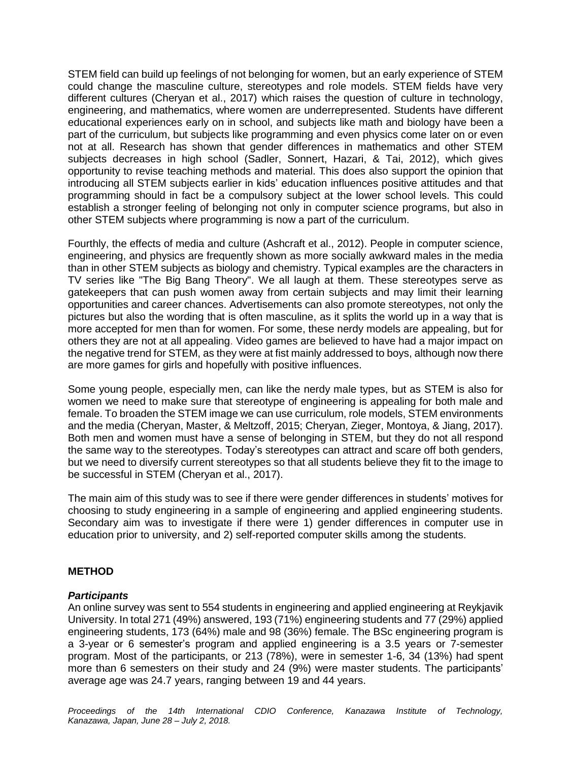STEM field can build up feelings of not belonging for women, but an early experience of STEM could change the masculine culture, stereotypes and role models. STEM fields have very different cultures (Cheryan et al., 2017) which raises the question of culture in technology, engineering, and mathematics, where women are underrepresented. Students have different educational experiences early on in school, and subjects like math and biology have been a part of the curriculum, but subjects like programming and even physics come later on or even not at all. Research has shown that gender differences in mathematics and other STEM subjects decreases in high school (Sadler, Sonnert, Hazari, & Tai, 2012), which gives opportunity to revise teaching methods and material. This does also support the opinion that introducing all STEM subjects earlier in kids' education influences positive attitudes and that programming should in fact be a compulsory subject at the lower school levels. This could establish a stronger feeling of belonging not only in computer science programs, but also in other STEM subjects where programming is now a part of the curriculum.

Fourthly, the effects of media and culture (Ashcraft et al., 2012). People in computer science, engineering, and physics are frequently shown as more socially awkward males in the media than in other STEM subjects as biology and chemistry. Typical examples are the characters in TV series like "The Big Bang Theory". We all laugh at them. These stereotypes serve as gatekeepers that can push women away from certain subjects and may limit their learning opportunities and career chances. Advertisements can also promote stereotypes, not only the pictures but also the wording that is often masculine, as it splits the world up in a way that is more accepted for men than for women. For some, these nerdy models are appealing, but for others they are not at all appealing. Video games are believed to have had a major impact on the negative trend for STEM, as they were at fist mainly addressed to boys, although now there are more games for girls and hopefully with positive influences.

Some young people, especially men, can like the nerdy male types, but as STEM is also for women we need to make sure that stereotype of engineering is appealing for both male and female. To broaden the STEM image we can use curriculum, role models, STEM environments and the media (Cheryan, Master, & Meltzoff, 2015; Cheryan, Zieger, Montoya, & Jiang, 2017). Both men and women must have a sense of belonging in STEM, but they do not all respond the same way to the stereotypes. Today's stereotypes can attract and scare off both genders, but we need to diversify current stereotypes so that all students believe they fit to the image to be successful in STEM (Cheryan et al., 2017).

The main aim of this study was to see if there were gender differences in students' motives for choosing to study engineering in a sample of engineering and applied engineering students. Secondary aim was to investigate if there were 1) gender differences in computer use in education prior to university, and 2) self-reported computer skills among the students.

# **METHOD**

# *Participants*

An online survey was sent to 554 students in engineering and applied engineering at Reykjavik University. In total 271 (49%) answered, 193 (71%) engineering students and 77 (29%) applied engineering students, 173 (64%) male and 98 (36%) female. The BSc engineering program is a 3-year or 6 semester's program and applied engineering is a 3.5 years or 7-semester program. Most of the participants, or 213 (78%), were in semester 1-6, 34 (13%) had spent more than 6 semesters on their study and 24 (9%) were master students. The participants' average age was 24.7 years, ranging between 19 and 44 years.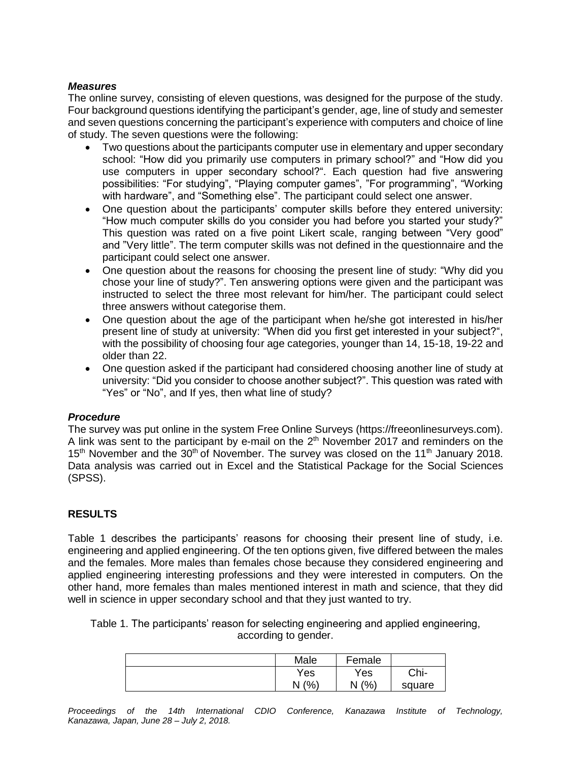# *Measures*

The online survey, consisting of eleven questions, was designed for the purpose of the study. Four background questions identifying the participant's gender, age, line of study and semester and seven questions concerning the participant's experience with computers and choice of line of study. The seven questions were the following:

- Two questions about the participants computer use in elementary and upper secondary school: "How did you primarily use computers in primary school?" and "How did you use computers in upper secondary school?". Each question had five answering possibilities: "For studying", "Playing computer games", "For programming", "Working with hardware", and "Something else". The participant could select one answer.
- One question about the participants' computer skills before they entered university: "How much computer skills do you consider you had before you started your study?" This question was rated on a five point Likert scale, ranging between "Very good" and "Very little". The term computer skills was not defined in the questionnaire and the participant could select one answer.
- One question about the reasons for choosing the present line of study: "Why did you chose your line of study?". Ten answering options were given and the participant was instructed to select the three most relevant for him/her. The participant could select three answers without categorise them.
- One question about the age of the participant when he/she got interested in his/her present line of study at university: "When did you first get interested in your subject?", with the possibility of choosing four age categories, younger than 14, 15-18, 19-22 and older than 22.
- One question asked if the participant had considered choosing another line of study at university: "Did you consider to choose another subject?". This question was rated with "Yes" or "No", and If yes, then what line of study?

# *Procedure*

The survey was put online in the system Free Online Surveys (https://freeonlinesurveys.com). A link was sent to the participant by e-mail on the  $2<sup>th</sup>$  November 2017 and reminders on the  $15<sup>th</sup>$  November and the 30<sup>th</sup> of November. The survey was closed on the 11<sup>th</sup> January 2018. Data analysis was carried out in Excel and the Statistical Package for the Social Sciences (SPSS).

# **RESULTS**

Table 1 describes the participants' reasons for choosing their present line of study, i.e. engineering and applied engineering. Of the ten options given, five differed between the males and the females. More males than females chose because they considered engineering and applied engineering interesting professions and they were interested in computers. On the other hand, more females than males mentioned interest in math and science, that they did well in science in upper secondary school and that they just wanted to try.

Table 1. The participants' reason for selecting engineering and applied engineering, according to gender.

| Male      | Female    |        |
|-----------|-----------|--------|
| Yes       | Yes       | Chi-   |
| (% )<br>N | (% )<br>N | square |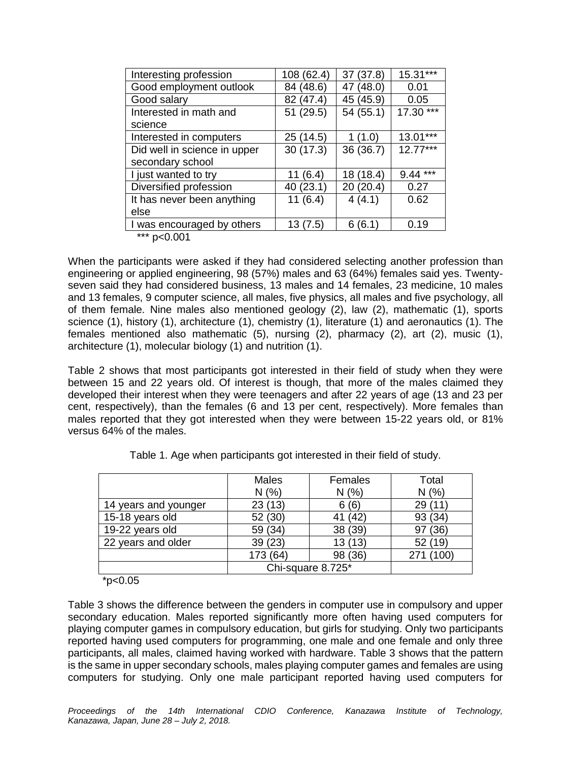| Interesting profession       | 108 (62.4) | 37 (37.8) | 15.31***   |
|------------------------------|------------|-----------|------------|
| Good employment outlook      | 84 (48.6)  | 47 (48.0) | 0.01       |
| Good salary                  | 82 (47.4)  | 45 (45.9) | 0.05       |
| Interested in math and       | 51 (29.5)  | 54 (55.1) | 17.30 ***  |
| science                      |            |           |            |
| Interested in computers      | 25 (14.5)  | 1(1.0)    | 13.01***   |
| Did well in science in upper | 30(17.3)   | 36 (36.7) | $12.77***$ |
| secondary school             |            |           |            |
| I just wanted to try         | 11(6.4)    | 18 (18.4) | $9.44***$  |
| Diversified profession       | 40 (23.1)  | 20(20.4)  | 0.27       |
| It has never been anything   | 11(6.4)    | 4(4.1)    | 0.62       |
| else                         |            |           |            |
| I was encouraged by others   | 13(7.5)    | 6(6.1)    | 0.19       |
| $*** - .0.004$               |            |           |            |

 $p<0.001$ 

When the participants were asked if they had considered selecting another profession than engineering or applied engineering, 98 (57%) males and 63 (64%) females said yes. Twentyseven said they had considered business, 13 males and 14 females, 23 medicine, 10 males and 13 females, 9 computer science, all males, five physics, all males and five psychology, all of them female. Nine males also mentioned geology (2), law (2), mathematic (1), sports science (1), history (1), architecture (1), chemistry (1), literature (1) and aeronautics (1). The females mentioned also mathematic (5), nursing (2), pharmacy (2), art (2), music (1), architecture (1), molecular biology (1) and nutrition (1).

Table 2 shows that most participants got interested in their field of study when they were between 15 and 22 years old. Of interest is though, that more of the males claimed they developed their interest when they were teenagers and after 22 years of age (13 and 23 per cent, respectively), than the females (6 and 13 per cent, respectively). More females than males reported that they got interested when they were between 15-22 years old, or 81% versus 64% of the males.

|                      | <b>Males</b><br>N(% | Females<br>N(% | Total<br>N(% |
|----------------------|---------------------|----------------|--------------|
| 14 years and younger | 23(13)              | 6(6)           | 29(11)       |
| 15-18 years old      | 52 (30)             | 41 (42)        | 93 (34)      |
| 19-22 years old      | 59 (34)             | 38 (39)        | 97 (36)      |
| 22 years and older   | 39 (23)             | 13(13)         | 52 (19)      |
|                      | 173 (64)            | 98 (36)        | 271 (100)    |
|                      | Chi-square 8.725*   |                |              |

Table 1. Age when participants got interested in their field of study.

 $*p<0.05$ 

Table 3 shows the difference between the genders in computer use in compulsory and upper secondary education. Males reported significantly more often having used computers for playing computer games in compulsory education, but girls for studying. Only two participants reported having used computers for programming, one male and one female and only three participants, all males, claimed having worked with hardware. Table 3 shows that the pattern is the same in upper secondary schools, males playing computer games and females are using computers for studying. Only one male participant reported having used computers for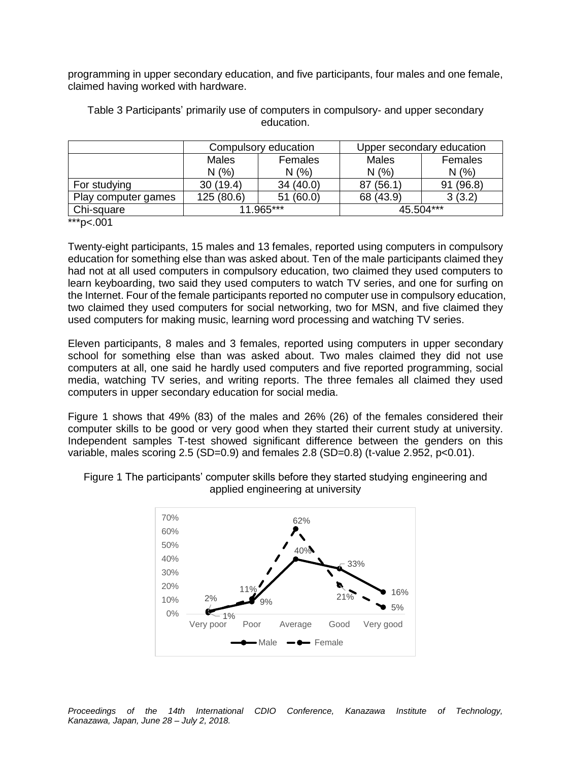programming in upper secondary education, and five participants, four males and one female, claimed having worked with hardware.

|                     | Compulsory education |              | Upper secondary education |              |
|---------------------|----------------------|--------------|---------------------------|--------------|
|                     | <b>Males</b>         | Females      | Males                     | Females      |
|                     | N(%                  | N(% )        | N(%                       | N(%          |
| For studying        | 30(19.4)             | 34(40.0)     | (56.1)<br>87              | (96.8)<br>91 |
| Play computer games | 125 (80.6)           | (60.0)<br>51 | 68 (43.9)                 | 3(3.2)       |
| Chi-square          | 11.965***            |              | 45.504***                 |              |

Table 3 Participants' primarily use of computers in compulsory- and upper secondary education.

\*\*\*p<.001

Twenty-eight participants, 15 males and 13 females, reported using computers in compulsory education for something else than was asked about. Ten of the male participants claimed they had not at all used computers in compulsory education, two claimed they used computers to learn keyboarding, two said they used computers to watch TV series, and one for surfing on the Internet. Four of the female participants reported no computer use in compulsory education, two claimed they used computers for social networking, two for MSN, and five claimed they used computers for making music, learning word processing and watching TV series.

Eleven participants, 8 males and 3 females, reported using computers in upper secondary school for something else than was asked about. Two males claimed they did not use computers at all, one said he hardly used computers and five reported programming, social media, watching TV series, and writing reports. The three females all claimed they used computers in upper secondary education for social media.

Figure 1 shows that 49% (83) of the males and 26% (26) of the females considered their computer skills to be good or very good when they started their current study at university. Independent samples T-test showed significant difference between the genders on this variable, males scoring 2.5 (SD=0.9) and females 2.8 (SD=0.8) (t-value 2.952, p<0.01).



Figure 1 The participants' computer skills before they started studying engineering and applied engineering at university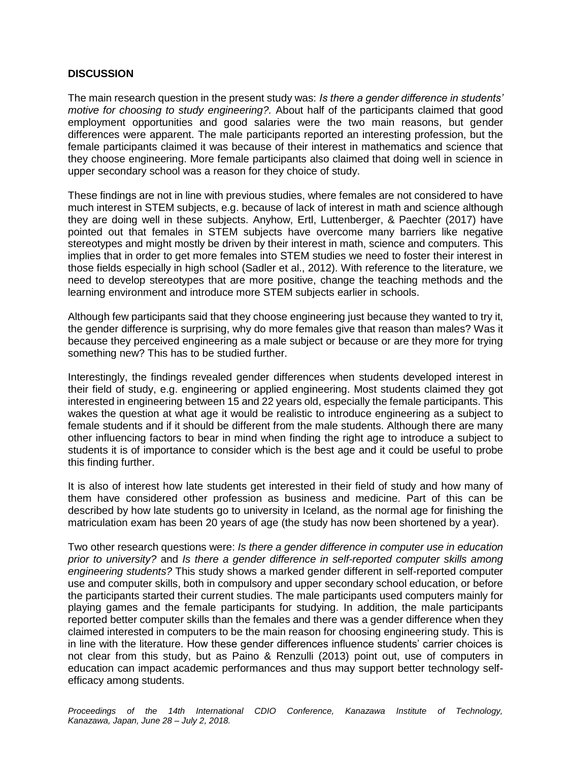## **DISCUSSION**

The main research question in the present study was: *Is there a gender difference in students' motive for choosing to study engineering?.* About half of the participants claimed that good employment opportunities and good salaries were the two main reasons, but gender differences were apparent. The male participants reported an interesting profession, but the female participants claimed it was because of their interest in mathematics and science that they choose engineering. More female participants also claimed that doing well in science in upper secondary school was a reason for they choice of study.

These findings are not in line with previous studies, where females are not considered to have much interest in STEM subjects, e.g. because of lack of interest in math and science although they are doing well in these subjects. Anyhow, Ertl, Luttenberger, & Paechter (2017) have pointed out that females in STEM subjects have overcome many barriers like negative stereotypes and might mostly be driven by their interest in math, science and computers. This implies that in order to get more females into STEM studies we need to foster their interest in those fields especially in high school (Sadler et al., 2012). With reference to the literature, we need to develop stereotypes that are more positive, change the teaching methods and the learning environment and introduce more STEM subjects earlier in schools.

Although few participants said that they choose engineering just because they wanted to try it, the gender difference is surprising, why do more females give that reason than males? Was it because they perceived engineering as a male subject or because or are they more for trying something new? This has to be studied further.

Interestingly, the findings revealed gender differences when students developed interest in their field of study, e.g. engineering or applied engineering. Most students claimed they got interested in engineering between 15 and 22 years old, especially the female participants. This wakes the question at what age it would be realistic to introduce engineering as a subject to female students and if it should be different from the male students. Although there are many other influencing factors to bear in mind when finding the right age to introduce a subject to students it is of importance to consider which is the best age and it could be useful to probe this finding further.

It is also of interest how late students get interested in their field of study and how many of them have considered other profession as business and medicine. Part of this can be described by how late students go to university in Iceland, as the normal age for finishing the matriculation exam has been 20 years of age (the study has now been shortened by a year).

Two other research questions were: *Is there a gender difference in computer use in education prior to university?* and *Is there a gender difference in self-reported computer skills among engineering students?* This study shows a marked gender different in self-reported computer use and computer skills, both in compulsory and upper secondary school education, or before the participants started their current studies. The male participants used computers mainly for playing games and the female participants for studying. In addition, the male participants reported better computer skills than the females and there was a gender difference when they claimed interested in computers to be the main reason for choosing engineering study. This is in line with the literature. How these gender differences influence students' carrier choices is not clear from this study, but as Paino & Renzulli (2013) point out, use of computers in education can impact academic performances and thus may support better technology selfefficacy among students.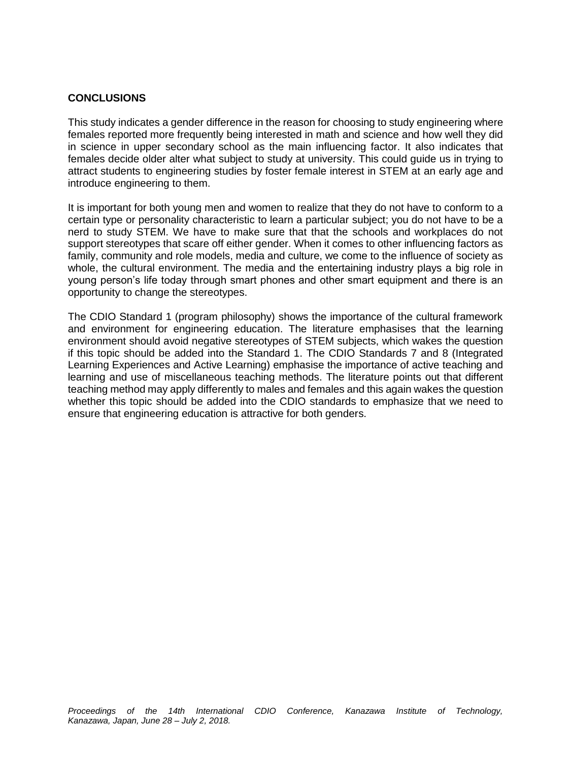## **CONCLUSIONS**

This study indicates a gender difference in the reason for choosing to study engineering where females reported more frequently being interested in math and science and how well they did in science in upper secondary school as the main influencing factor. It also indicates that females decide older alter what subject to study at university. This could guide us in trying to attract students to engineering studies by foster female interest in STEM at an early age and introduce engineering to them.

It is important for both young men and women to realize that they do not have to conform to a certain type or personality characteristic to learn a particular subject; you do not have to be a nerd to study STEM. We have to make sure that that the schools and workplaces do not support stereotypes that scare off either gender. When it comes to other influencing factors as family, community and role models, media and culture, we come to the influence of society as whole, the cultural environment. The media and the entertaining industry plays a big role in young person's life today through smart phones and other smart equipment and there is an opportunity to change the stereotypes.

The CDIO Standard 1 (program philosophy) shows the importance of the cultural framework and environment for engineering education. The literature emphasises that the learning environment should avoid negative stereotypes of STEM subjects, which wakes the question if this topic should be added into the Standard 1. The CDIO Standards 7 and 8 (Integrated Learning Experiences and Active Learning) emphasise the importance of active teaching and learning and use of miscellaneous teaching methods. The literature points out that different teaching method may apply differently to males and females and this again wakes the question whether this topic should be added into the CDIO standards to emphasize that we need to ensure that engineering education is attractive for both genders.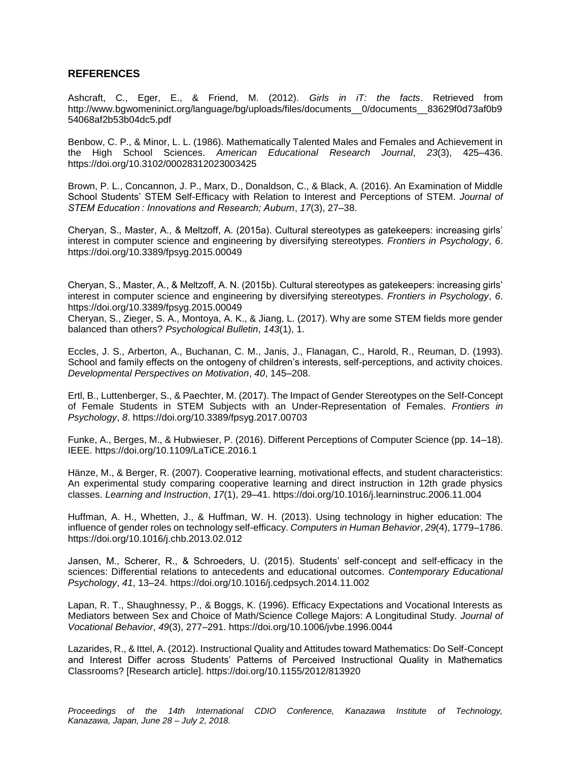## **REFERENCES**

Ashcraft, C., Eger, E., & Friend, M. (2012). *Girls in iT: the facts*. Retrieved from http://www.bgwomeninict.org/language/bg/uploads/files/documents\_\_0/documents\_\_83629f0d73af0b9 54068af2b53b04dc5.pdf

Benbow, C. P., & Minor, L. L. (1986). Mathematically Talented Males and Females and Achievement in the High School Sciences. *American Educational Research Journal*, *23*(3), 425–436. https://doi.org/10.3102/00028312023003425

Brown, P. L., Concannon, J. P., Marx, D., Donaldson, C., & Black, A. (2016). An Examination of Middle School Students' STEM Self-Efficacy with Relation to Interest and Perceptions of STEM. *Journal of STEM Education : Innovations and Research; Auburn*, *17*(3), 27–38.

Cheryan, S., Master, A., & Meltzoff, A. (2015a). Cultural stereotypes as gatekeepers: increasing girls' interest in computer science and engineering by diversifying stereotypes. *Frontiers in Psychology*, *6*. https://doi.org/10.3389/fpsyg.2015.00049

Cheryan, S., Master, A., & Meltzoff, A. N. (2015b). Cultural stereotypes as gatekeepers: increasing girls' interest in computer science and engineering by diversifying stereotypes. *Frontiers in Psychology*, *6*. https://doi.org/10.3389/fpsyg.2015.00049

Cheryan, S., Zieger, S. A., Montoya, A. K., & Jiang, L. (2017). Why are some STEM fields more gender balanced than others? *Psychological Bulletin*, *143*(1), 1.

Eccles, J. S., Arberton, A., Buchanan, C. M., Janis, J., Flanagan, C., Harold, R., Reuman, D. (1993). School and family effects on the ontogeny of children's interests, self-perceptions, and activity choices. *Developmental Perspectives on Motivation*, *40*, 145–208.

Ertl, B., Luttenberger, S., & Paechter, M. (2017). The Impact of Gender Stereotypes on the Self-Concept of Female Students in STEM Subjects with an Under-Representation of Females. *Frontiers in Psychology*, *8*. https://doi.org/10.3389/fpsyg.2017.00703

Funke, A., Berges, M., & Hubwieser, P. (2016). Different Perceptions of Computer Science (pp. 14–18). IEEE. https://doi.org/10.1109/LaTiCE.2016.1

Hänze, M., & Berger, R. (2007). Cooperative learning, motivational effects, and student characteristics: An experimental study comparing cooperative learning and direct instruction in 12th grade physics classes. *Learning and Instruction*, *17*(1), 29–41. https://doi.org/10.1016/j.learninstruc.2006.11.004

Huffman, A. H., Whetten, J., & Huffman, W. H. (2013). Using technology in higher education: The influence of gender roles on technology self-efficacy. *Computers in Human Behavior*, *29*(4), 1779–1786. https://doi.org/10.1016/j.chb.2013.02.012

Jansen, M., Scherer, R., & Schroeders, U. (2015). Students' self-concept and self-efficacy in the sciences: Differential relations to antecedents and educational outcomes. *Contemporary Educational Psychology*, *41*, 13–24. https://doi.org/10.1016/j.cedpsych.2014.11.002

Lapan, R. T., Shaughnessy, P., & Boggs, K. (1996). Efficacy Expectations and Vocational Interests as Mediators between Sex and Choice of Math/Science College Majors: A Longitudinal Study. *Journal of Vocational Behavior*, *49*(3), 277–291. https://doi.org/10.1006/jvbe.1996.0044

Lazarides, R., & Ittel, A. (2012). Instructional Quality and Attitudes toward Mathematics: Do Self-Concept and Interest Differ across Students' Patterns of Perceived Instructional Quality in Mathematics Classrooms? [Research article]. https://doi.org/10.1155/2012/813920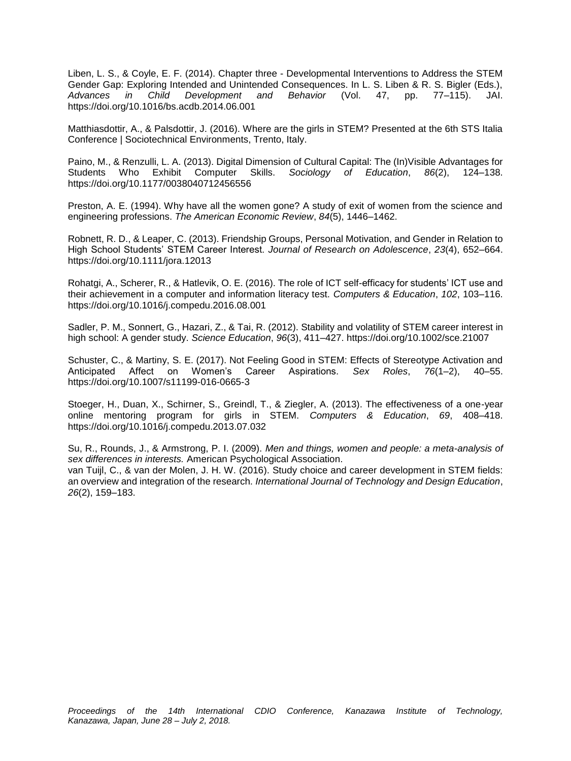Liben, L. S., & Coyle, E. F. (2014). Chapter three - Developmental Interventions to Address the STEM Gender Gap: Exploring Intended and Unintended Consequences. In L. S. Liben & R. S. Bigler (Eds.), *Advances in Child Development and Behavior* (Vol. 47, pp. 77–115). JAI. https://doi.org/10.1016/bs.acdb.2014.06.001

Matthiasdottir, A., & Palsdottir, J. (2016). Where are the girls in STEM? Presented at the 6th STS Italia Conference | Sociotechnical Environments, Trento, Italy.

Paino, M., & Renzulli, L. A. (2013). Digital Dimension of Cultural Capital: The (In)Visible Advantages for Students Who Exhibit Computer Skills. *Sociology of Education*, *86*(2), 124–138. https://doi.org/10.1177/0038040712456556

Preston, A. E. (1994). Why have all the women gone? A study of exit of women from the science and engineering professions. *The American Economic Review*, *84*(5), 1446–1462.

Robnett, R. D., & Leaper, C. (2013). Friendship Groups, Personal Motivation, and Gender in Relation to High School Students' STEM Career Interest. *Journal of Research on Adolescence*, *23*(4), 652–664. https://doi.org/10.1111/jora.12013

Rohatgi, A., Scherer, R., & Hatlevik, O. E. (2016). The role of ICT self-efficacy for students' ICT use and their achievement in a computer and information literacy test. *Computers & Education*, *102*, 103–116. https://doi.org/10.1016/j.compedu.2016.08.001

Sadler, P. M., Sonnert, G., Hazari, Z., & Tai, R. (2012). Stability and volatility of STEM career interest in high school: A gender study. *Science Education*, *96*(3), 411–427. https://doi.org/10.1002/sce.21007

Schuster, C., & Martiny, S. E. (2017). Not Feeling Good in STEM: Effects of Stereotype Activation and Anticipated Affect on Women's Career Aspirations. *Sex Roles*, *76*(1–2), 40–55. https://doi.org/10.1007/s11199-016-0665-3

Stoeger, H., Duan, X., Schirner, S., Greindl, T., & Ziegler, A. (2013). The effectiveness of a one-year online mentoring program for girls in STEM. *Computers & Education*, *69*, 408–418. https://doi.org/10.1016/j.compedu.2013.07.032

Su, R., Rounds, J., & Armstrong, P. I. (2009). *Men and things, women and people: a meta-analysis of sex differences in interests.* American Psychological Association. van Tuijl, C., & van der Molen, J. H. W. (2016). Study choice and career development in STEM fields: an overview and integration of the research. *International Journal of Technology and Design Education*, *26*(2), 159–183.